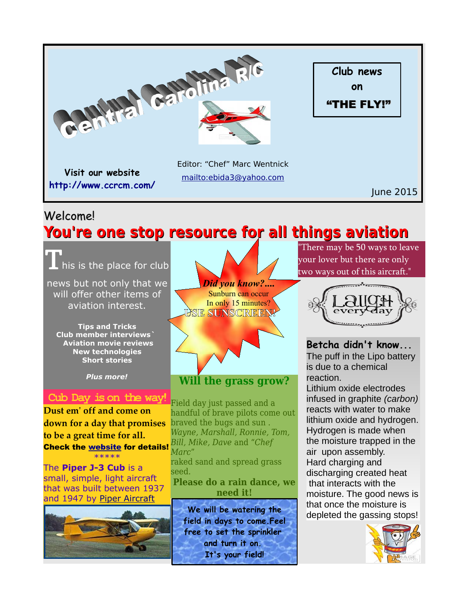

# Welcome!

# **You're one stop resource for all things aviation**

his is the place for club news but not only that we

will offer other items of aviation interest. **Tips and Tricks**

**Club member interviews` Aviation movie reviews New technologies Short stories**

*Plus more!*

# **Cub Day is on the way!**

**Dust em' off and come on down for a day that promises to be a great time for all.**  Check the [website](http://www.ccrcm.com/) for details! \*\*\*\*\*

The **Piper J-3 Cub** is a small, simple, light aircraft that was built between 1937 and 1947 by [Piper Aircraft](http://en.wikipedia.org/wiki/Piper_Aircraft)



*Did you know?***....** Sunburn can occur In only 15 minutes? **USE SUNSCREEN!**



**Will the grass grow?**

Field day just passed and a handful of brave pilots come out braved the bugs and sun . *Wayne, Marshall, Ronnie, Tom, Bill, Mike, Dave* and "*Chef Marc*"

raked sand and spread grass seed.

**Please do a rain dance, we need it!**

**We will be watering the field in days to come.Feel free to set the sprinkler and turn it on. It's your field!**

There may be 50 ways to leave your lover but there are only two ways out of this aircraft."



**Betcha didn't know...** The puff in the Lipo battery is due to a chemical reaction. Lithium oxide electrodes infused in graphite *(carbon)* reacts with water to make lithium oxide and hydrogen. Hydrogen is made when the moisture trapped in the air upon assembly. Hard charging and discharging created heat that interacts with the moisture. The good news is that once the moisture is depleted the gassing stops!

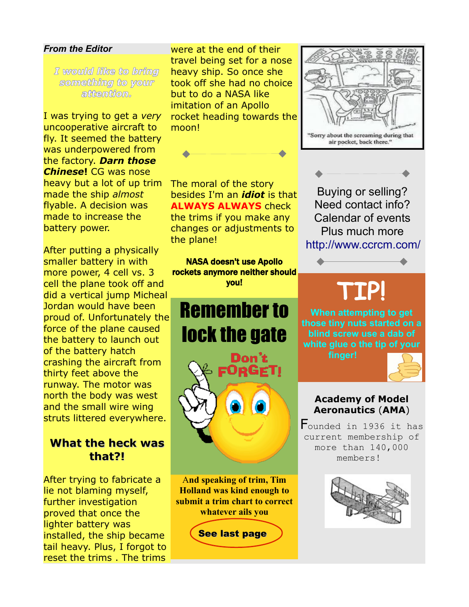#### *From the Editor*

*I would like to bring something to your attention.*

I was trying to get a *very*  uncooperative aircraft to fly. It seemed the battery was underpowered from the factory. *Darn those Chinese***!** CG was nose heavy but a lot of up trim made the ship *almost* flyable. A decision was made to increase the battery power.

After putting a physically smaller battery in with more power, 4 cell vs. 3 cell the plane took off and did a vertical jump Micheal Jordan would have been proud of. Unfortunately the force of the plane caused the battery to launch out of the battery hatch crashing the aircraft from thirty feet above the runway. The motor was north the body was west and the small wire wing struts littered everywhere.

# **What the heck was that?!**

After trying to fabricate a lie not blaming myself, further investigation proved that once the lighter battery was installed, the ship became tail heavy. Plus, I forgot to reset the trims . The trims

were at the end of their travel being set for a nose heavy ship. So once she took off she had no choice but to do a NASA like imitation of an Apollo rocket heading towards the moon!

The moral of the story

the plane!

besides I'm an *idiot* is that **ALWAYS ALWAYS** check the trims if you make any changes or adjustments to

NASA doesn't use Apollo rockets anymore neither should you!

Remember to

lock the gate

Don't FORGETI

A**nd speaking of trim, Tim Holland was kind enough to submit a trim chart to correct whatever ails you**

See last page





Buying or selling? Need contact info? Calendar of events Plus much more <http://www.ccrcm.com/>

# **TIP!**

**When attempting to get those tiny nuts started on a blind screw use a dab of white glue o the tip of your**

**finger!**



### **Academy of Model Aeronautics** (**AMA**)

Founded in 1936 it has current membership of more than 140,000 members!

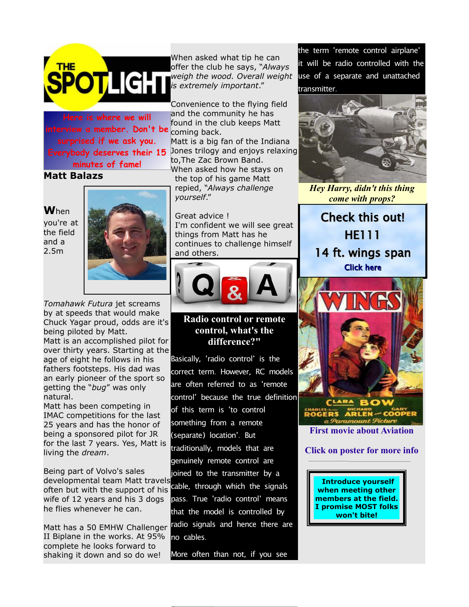

**Here is where we will interview a member. Don't be surprised if we ask you. Everybody deserves their 15 minutes of fame!**

## **Matt Balazs**

**W**hen

you're at the field and a 2.5m



*Tomahawk Futura* jet screams by at speeds that would make Chuck Yagar proud, odds are it's being piloted by Matt.

Matt is an accomplished pilot for over thirty years. Starting at the age of eight he follows in his fathers footsteps. His dad was an early pioneer of the sport so getting the "*bug*" was only natural.

Matt has been competing in IMAC competitions for the last 25 years and has the honor of being a sponsored pilot for JR for the last 7 years. Yes, Matt is living the *dream*.

Being part of Volvo's sales developmental team Matt travels often but with the support of his wife of 12 years and his 3 dogs he flies whenever he can.

Matt has a 50 EMHW Challenger II Biplane in the works. At 95% complete he looks forward to shaking it down and so do we!

When asked what tip he can offer the club he says, "*Always weigh the wood. Overall weight is extremely important*."

Convenience to the flying field and the community he has found in the club keeps Matt coming back. Matt is a big fan of the Indiana Jones trilogy and enjoys relaxing to,The Zac Brown Band.

When asked how he stays on the top of his game Matt repied, "*Always challenge yourself*."

Great advice ! I'm confident we will see great things from Matt has he continues to challenge himself and others.



#### **Radio control or remote control, what's the difference?"**

Basically, 'radio control' is the correct term. However, RC models are often referred to as 'remote control' because the true definition of this term is 'to control something from a remote (separate) location'. But traditionally, models that are genuinely remote control are joined to the transmitter by a cable, through which the signals pass. True 'radio control' means that the model is controlled by radio signals and hence there are no cables .

More often than not, if you see

the term 'remote control airplane' it will be radio controlled with the use of a separate and unattached transmitter.



*Hey Harry, didn't this thing come with props?*

Check this out! HE111 14 ft. wings span [Click here](http://www.modelairplanenews.com/blog/2015/06/11/huge-14-foot-span-heinkel-111/)



**Click on poster for more info**

**Introduce yourself when meeting other members at the field. I promise MOST folks won't bite!**